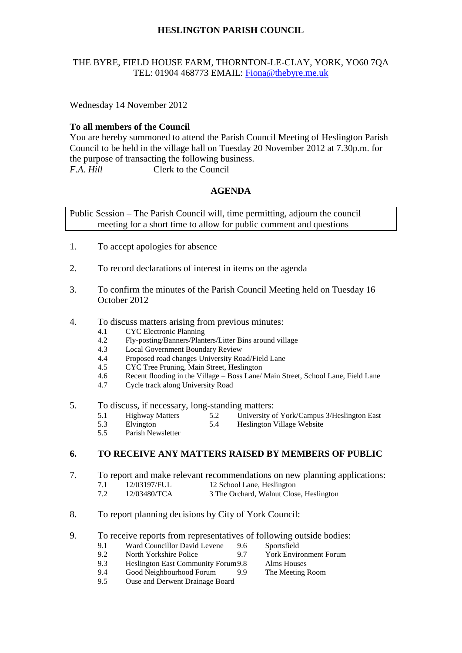# **HESLINGTON PARISH COUNCIL**

#### THE BYRE, FIELD HOUSE FARM, THORNTON-LE-CLAY, YORK, YO60 7QA TEL: 01904 468773 EMAIL: [Fiona@thebyre.me.uk](mailto:Fiona@thebyre.me.uk)

Wednesday 14 November 2012

#### **To all members of the Council**

You are hereby summoned to attend the Parish Council Meeting of Heslington Parish Council to be held in the village hall on Tuesday 20 November 2012 at 7.30p.m. for the purpose of transacting the following business. *F.A. Hill* Clerk to the Council

## **AGENDA**

Public Session – The Parish Council will, time permitting, adjourn the council meeting for a short time to allow for public comment and questions

- 1. To accept apologies for absence
- 2. To record declarations of interest in items on the agenda
- 3. To confirm the minutes of the Parish Council Meeting held on Tuesday 16 October 2012
- 4. To discuss matters arising from previous minutes:
	- 4.1 CYC Electronic Planning
	- 4.2 Fly-posting/Banners/Planters/Litter Bins around village
	- 4.3 Local Government Boundary Review
	- 4.4 Proposed road changes University Road/Field Lane
	- 4.5 CYC Tree Pruning, Main Street, Heslington
	- 4.6 Recent flooding in the Village Boss Lane/ Main Street, School Lane, Field Lane
	- 4.7 Cycle track along University Road
- 5. To discuss, if necessary, long-standing matters:
	- 5.1 Highway Matters 5.2 University of York/Campus 3/Heslington East
	- 5.3 Elvington 5.4 Heslington Village Website
	- 5.5 Parish Newsletter

## **6. TO RECEIVE ANY MATTERS RAISED BY MEMBERS OF PUBLIC**

- 7. To report and make relevant recommendations on new planning applications:
	- 7.1 12/03197/FUL 12 School Lane, Heslington
	- 7.2 12/03480/TCA 3 The Orchard, Walnut Close, Heslington
- 8. To report planning decisions by City of York Council:

# 9. To receive reports from representatives of following outside bodies:<br>9.1 Ward Councillor David Levene 9.6 Sportsfield

- 9.1 Ward Councillor David Levene 9.6
	-
- 9.2 North Yorkshire Police 9.7 York Environment Forum<br>
9.3 Heslington East Community Forum 9.8 Alms Houses 9.3 Heslington East Community Forum9.8 Alms Houses
- 9.4 Good Neighbourhood Forum 9.9 The Meeting Room
- 9.5 Ouse and Derwent Drainage Board
-